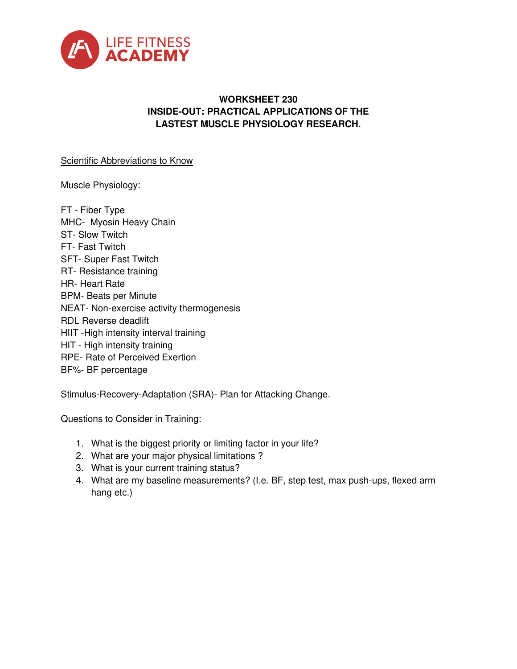

## **WORKSHEET 230 INSIDE-OUT: PRACTICAL APPLICATIONS OF THE LASTEST MUSCLE PHYSIOLOGY RESEARCH.**

## Scientific Abbreviations to Know

Muscle Physiology:

FT - Fiber Type MHC- Myosin Heavy Chain ST- Slow Twitch FT- Fast Twitch SFT- Super Fast Twitch RT- Resistance training HR- Heart Rate BPM- Beats per Minute NEAT- Non-exercise activity thermogenesis RDL Reverse deadlift HIIT -High intensity interval training HIT - High intensity training RPE- Rate of Perceived Exertion BF%- BF percentage

Stimulus-Recovery-Adaptation (SRA)- Plan for Attacking Change.

Questions to Consider in Training:

- 1. What is the biggest priority or limiting factor in your life?
- 2. What are your major physical limitations ?
- 3. What is your current training status?
- 4. What are my baseline measurements? (I.e. BF, step test, max push-ups, flexed arm hang etc.)